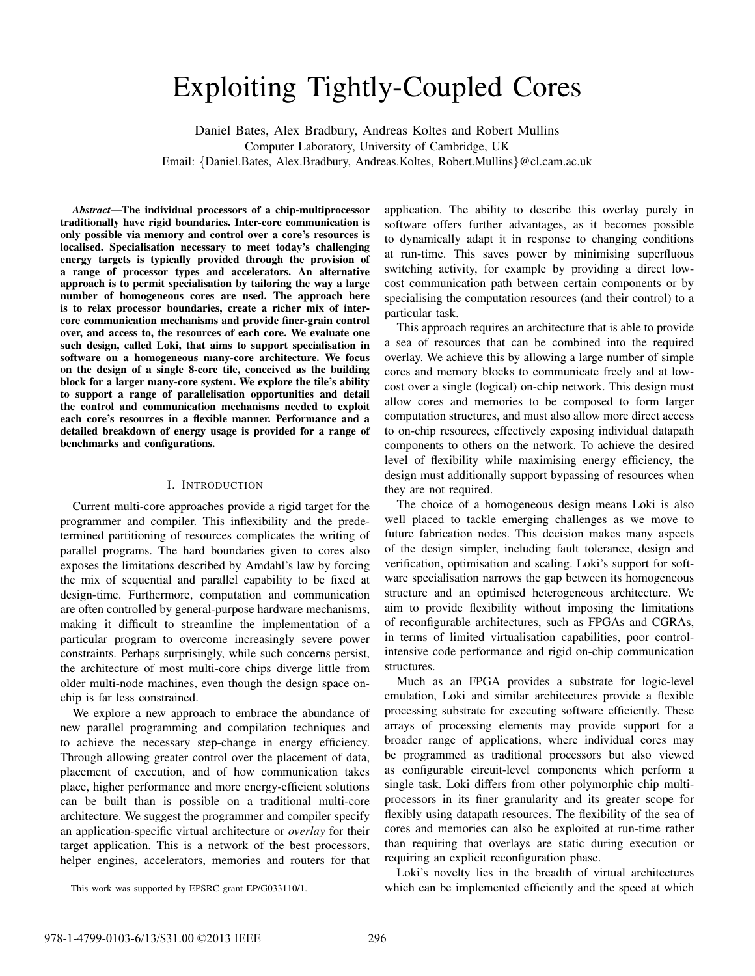# Exploiting Tightly-Coupled Cores

Daniel Bates, Alex Bradbury, Andreas Koltes and Robert Mullins Computer Laboratory, University of Cambridge, UK Email: {Daniel.Bates, Alex.Bradbury, Andreas.Koltes, Robert.Mullins}@cl.cam.ac.uk

*Abstract*—The individual processors of a chip-multiprocessor traditionally have rigid boundaries. Inter-core communication is only possible via memory and control over a core's resources is localised. Specialisation necessary to meet today's challenging energy targets is typically provided through the provision of a range of processor types and accelerators. An alternative approach is to permit specialisation by tailoring the way a large number of homogeneous cores are used. The approach here is to relax processor boundaries, create a richer mix of intercore communication mechanisms and provide finer-grain control over, and access to, the resources of each core. We evaluate one such design, called Loki, that aims to support specialisation in software on a homogeneous many-core architecture. We focus on the design of a single 8-core tile, conceived as the building block for a larger many-core system. We explore the tile's ability to support a range of parallelisation opportunities and detail the control and communication mechanisms needed to exploit each core's resources in a flexible manner. Performance and a detailed breakdown of energy usage is provided for a range of benchmarks and configurations.

#### I. INTRODUCTION

Current multi-core approaches provide a rigid target for the programmer and compiler. This inflexibility and the predetermined partitioning of resources complicates the writing of parallel programs. The hard boundaries given to cores also exposes the limitations described by Amdahl's law by forcing the mix of sequential and parallel capability to be fixed at design-time. Furthermore, computation and communication are often controlled by general-purpose hardware mechanisms, making it difficult to streamline the implementation of a particular program to overcome increasingly severe power constraints. Perhaps surprisingly, while such concerns persist, the architecture of most multi-core chips diverge little from older multi-node machines, even though the design space onchip is far less constrained.

We explore a new approach to embrace the abundance of new parallel programming and compilation techniques and to achieve the necessary step-change in energy efficiency. Through allowing greater control over the placement of data, placement of execution, and of how communication takes place, higher performance and more energy-efficient solutions can be built than is possible on a traditional multi-core architecture. We suggest the programmer and compiler specify an application-specific virtual architecture or *overlay* for their target application. This is a network of the best processors, helper engines, accelerators, memories and routers for that

application. The ability to describe this overlay purely in software offers further advantages, as it becomes possible to dynamically adapt it in response to changing conditions at run-time. This saves power by minimising superfluous switching activity, for example by providing a direct lowcost communication path between certain components or by specialising the computation resources (and their control) to a particular task.

This approach requires an architecture that is able to provide a sea of resources that can be combined into the required overlay. We achieve this by allowing a large number of simple cores and memory blocks to communicate freely and at lowcost over a single (logical) on-chip network. This design must allow cores and memories to be composed to form larger computation structures, and must also allow more direct access to on-chip resources, effectively exposing individual datapath components to others on the network. To achieve the desired level of flexibility while maximising energy efficiency, the design must additionally support bypassing of resources when they are not required.

The choice of a homogeneous design means Loki is also well placed to tackle emerging challenges as we move to future fabrication nodes. This decision makes many aspects of the design simpler, including fault tolerance, design and verification, optimisation and scaling. Loki's support for software specialisation narrows the gap between its homogeneous structure and an optimised heterogeneous architecture. We aim to provide flexibility without imposing the limitations of reconfigurable architectures, such as FPGAs and CGRAs, in terms of limited virtualisation capabilities, poor controlintensive code performance and rigid on-chip communication structures.

Much as an FPGA provides a substrate for logic-level emulation, Loki and similar architectures provide a flexible processing substrate for executing software efficiently. These arrays of processing elements may provide support for a broader range of applications, where individual cores may be programmed as traditional processors but also viewed as configurable circuit-level components which perform a single task. Loki differs from other polymorphic chip multiprocessors in its finer granularity and its greater scope for flexibly using datapath resources. The flexibility of the sea of cores and memories can also be exploited at run-time rather than requiring that overlays are static during execution or requiring an explicit reconfiguration phase.

Loki's novelty lies in the breadth of virtual architectures which can be implemented efficiently and the speed at which

This work was supported by EPSRC grant EP/G033110/1.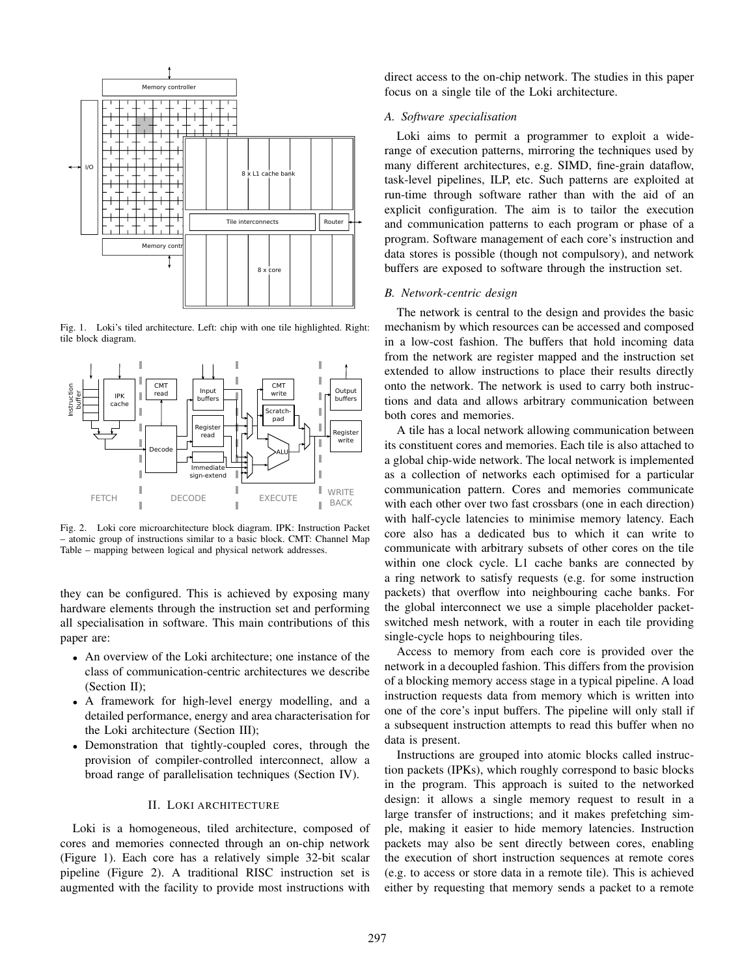

Fig. 1. Loki's tiled architecture. Left: chip with one tile highlighted. Right: tile block diagram.



Fig. 2. Loki core microarchitecture block diagram. IPK: Instruction Packet – atomic group of instructions similar to a basic block. CMT: Channel Map Table – mapping between logical and physical network addresses.

they can be configured. This is achieved by exposing many hardware elements through the instruction set and performing all specialisation in software. This main contributions of this paper are:

- An overview of the Loki architecture; one instance of the class of communication-centric architectures we describe (Section II);
- A framework for high-level energy modelling, and a detailed performance, energy and area characterisation for the Loki architecture (Section III);
- Demonstration that tightly-coupled cores, through the provision of compiler-controlled interconnect, allow a broad range of parallelisation techniques (Section IV).

# II. LOKI ARCHITECTURE

Loki is a homogeneous, tiled architecture, composed of cores and memories connected through an on-chip network (Figure 1). Each core has a relatively simple 32-bit scalar pipeline (Figure 2). A traditional RISC instruction set is augmented with the facility to provide most instructions with

direct access to the on-chip network. The studies in this paper focus on a single tile of the Loki architecture.

# *A. Software specialisation*

Loki aims to permit a programmer to exploit a widerange of execution patterns, mirroring the techniques used by many different architectures, e.g. SIMD, fine-grain dataflow, task-level pipelines, ILP, etc. Such patterns are exploited at run-time through software rather than with the aid of an explicit configuration. The aim is to tailor the execution and communication patterns to each program or phase of a program. Software management of each core's instruction and data stores is possible (though not compulsory), and network buffers are exposed to software through the instruction set.

# *B. Network-centric design*

The network is central to the design and provides the basic mechanism by which resources can be accessed and composed in a low-cost fashion. The buffers that hold incoming data from the network are register mapped and the instruction set extended to allow instructions to place their results directly onto the network. The network is used to carry both instructions and data and allows arbitrary communication between both cores and memories.

A tile has a local network allowing communication between its constituent cores and memories. Each tile is also attached to a global chip-wide network. The local network is implemented as a collection of networks each optimised for a particular communication pattern. Cores and memories communicate with each other over two fast crossbars (one in each direction) with half-cycle latencies to minimise memory latency. Each core also has a dedicated bus to which it can write to communicate with arbitrary subsets of other cores on the tile within one clock cycle. L1 cache banks are connected by a ring network to satisfy requests (e.g. for some instruction packets) that overflow into neighbouring cache banks. For the global interconnect we use a simple placeholder packetswitched mesh network, with a router in each tile providing single-cycle hops to neighbouring tiles.

Access to memory from each core is provided over the network in a decoupled fashion. This differs from the provision of a blocking memory access stage in a typical pipeline. A load instruction requests data from memory which is written into one of the core's input buffers. The pipeline will only stall if a subsequent instruction attempts to read this buffer when no data is present.

Instructions are grouped into atomic blocks called instruction packets (IPKs), which roughly correspond to basic blocks in the program. This approach is suited to the networked design: it allows a single memory request to result in a large transfer of instructions; and it makes prefetching simple, making it easier to hide memory latencies. Instruction packets may also be sent directly between cores, enabling the execution of short instruction sequences at remote cores (e.g. to access or store data in a remote tile). This is achieved either by requesting that memory sends a packet to a remote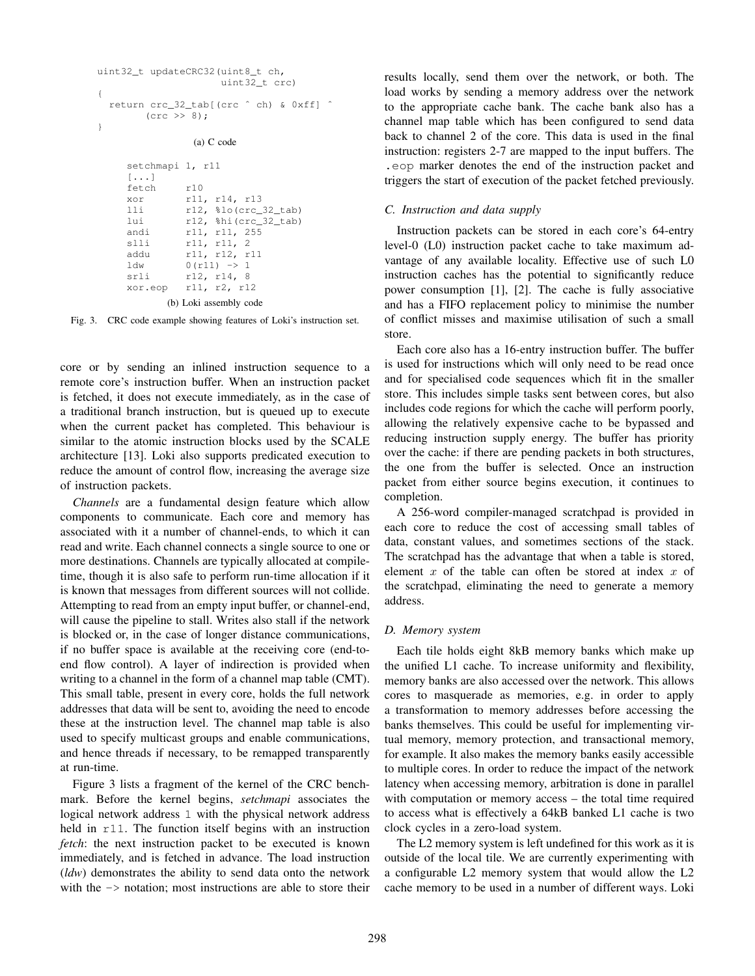```
uint32 t updateCRC32(uint8 t ch,
                     uint32_t crc)
{
  return crc_32_tab[(crc ˆ ch) & 0xff] ˆ
        (crc \gg 8);}
                 (a) C code
     setchmapi 1, r11
     [...]
     fetch r10
     xor r11, r14, r13
     11i r12, %lo(crc_32_tab)<br>
1ui r12, %hi(crc_32_tab)
               r12, %hi(crc_32_tab)
     andi r11, r11, 255
     slli r11, r11, 2
     addu r11, r12, r11
     1 dw 0 (r11) \rightarrow 1srli r12, r14, 8
     xor.eop r11, r2, r12
```
(b) Loki assembly code

Fig. 3. CRC code example showing features of Loki's instruction set.

core or by sending an inlined instruction sequence to a remote core's instruction buffer. When an instruction packet is fetched, it does not execute immediately, as in the case of a traditional branch instruction, but is queued up to execute when the current packet has completed. This behaviour is similar to the atomic instruction blocks used by the SCALE architecture [13]. Loki also supports predicated execution to reduce the amount of control flow, increasing the average size of instruction packets.

*Channels* are a fundamental design feature which allow components to communicate. Each core and memory has associated with it a number of channel-ends, to which it can read and write. Each channel connects a single source to one or more destinations. Channels are typically allocated at compiletime, though it is also safe to perform run-time allocation if it is known that messages from different sources will not collide. Attempting to read from an empty input buffer, or channel-end, will cause the pipeline to stall. Writes also stall if the network is blocked or, in the case of longer distance communications, if no buffer space is available at the receiving core (end-toend flow control). A layer of indirection is provided when writing to a channel in the form of a channel map table (CMT). This small table, present in every core, holds the full network addresses that data will be sent to, avoiding the need to encode these at the instruction level. The channel map table is also used to specify multicast groups and enable communications, and hence threads if necessary, to be remapped transparently at run-time.

Figure 3 lists a fragment of the kernel of the CRC benchmark. Before the kernel begins, *setchmapi* associates the logical network address 1 with the physical network address held in r11. The function itself begins with an instruction *fetch*: the next instruction packet to be executed is known immediately, and is fetched in advance. The load instruction (*ldw*) demonstrates the ability to send data onto the network with the  $\rightarrow$  notation; most instructions are able to store their results locally, send them over the network, or both. The load works by sending a memory address over the network to the appropriate cache bank. The cache bank also has a channel map table which has been configured to send data back to channel 2 of the core. This data is used in the final instruction: registers 2-7 are mapped to the input buffers. The .eop marker denotes the end of the instruction packet and triggers the start of execution of the packet fetched previously.

## *C. Instruction and data supply*

Instruction packets can be stored in each core's 64-entry level-0 (L0) instruction packet cache to take maximum advantage of any available locality. Effective use of such L0 instruction caches has the potential to significantly reduce power consumption [1], [2]. The cache is fully associative and has a FIFO replacement policy to minimise the number of conflict misses and maximise utilisation of such a small store.

Each core also has a 16-entry instruction buffer. The buffer is used for instructions which will only need to be read once and for specialised code sequences which fit in the smaller store. This includes simple tasks sent between cores, but also includes code regions for which the cache will perform poorly, allowing the relatively expensive cache to be bypassed and reducing instruction supply energy. The buffer has priority over the cache: if there are pending packets in both structures, the one from the buffer is selected. Once an instruction packet from either source begins execution, it continues to completion.

A 256-word compiler-managed scratchpad is provided in each core to reduce the cost of accessing small tables of data, constant values, and sometimes sections of the stack. The scratchpad has the advantage that when a table is stored, element  $x$  of the table can often be stored at index  $x$  of the scratchpad, eliminating the need to generate a memory address.

#### *D. Memory system*

Each tile holds eight 8kB memory banks which make up the unified L1 cache. To increase uniformity and flexibility, memory banks are also accessed over the network. This allows cores to masquerade as memories, e.g. in order to apply a transformation to memory addresses before accessing the banks themselves. This could be useful for implementing virtual memory, memory protection, and transactional memory, for example. It also makes the memory banks easily accessible to multiple cores. In order to reduce the impact of the network latency when accessing memory, arbitration is done in parallel with computation or memory access – the total time required to access what is effectively a 64kB banked L1 cache is two clock cycles in a zero-load system.

The L2 memory system is left undefined for this work as it is outside of the local tile. We are currently experimenting with a configurable L2 memory system that would allow the L2 cache memory to be used in a number of different ways. Loki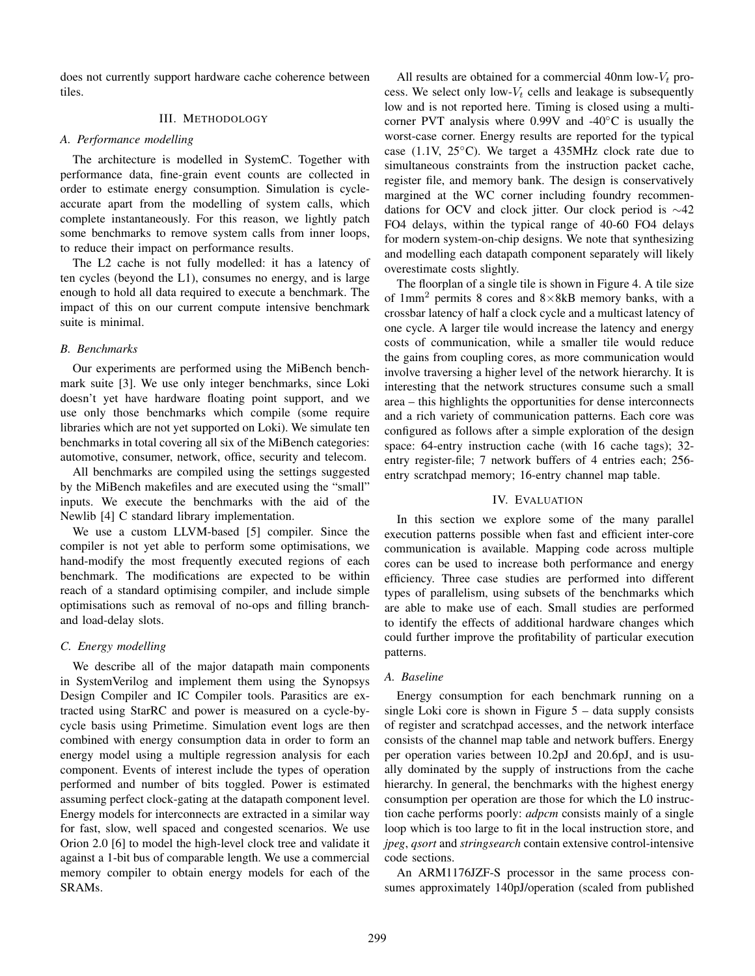does not currently support hardware cache coherence between tiles.

# III. METHODOLOGY

## *A. Performance modelling*

The architecture is modelled in SystemC. Together with performance data, fine-grain event counts are collected in order to estimate energy consumption. Simulation is cycleaccurate apart from the modelling of system calls, which complete instantaneously. For this reason, we lightly patch some benchmarks to remove system calls from inner loops, to reduce their impact on performance results.

The L2 cache is not fully modelled: it has a latency of ten cycles (beyond the L1), consumes no energy, and is large enough to hold all data required to execute a benchmark. The impact of this on our current compute intensive benchmark suite is minimal.

## *B. Benchmarks*

Our experiments are performed using the MiBench benchmark suite [3]. We use only integer benchmarks, since Loki doesn't yet have hardware floating point support, and we use only those benchmarks which compile (some require libraries which are not yet supported on Loki). We simulate ten benchmarks in total covering all six of the MiBench categories: automotive, consumer, network, office, security and telecom.

All benchmarks are compiled using the settings suggested by the MiBench makefiles and are executed using the "small" inputs. We execute the benchmarks with the aid of the Newlib [4] C standard library implementation.

We use a custom LLVM-based [5] compiler. Since the compiler is not yet able to perform some optimisations, we hand-modify the most frequently executed regions of each benchmark. The modifications are expected to be within reach of a standard optimising compiler, and include simple optimisations such as removal of no-ops and filling branchand load-delay slots.

## *C. Energy modelling*

We describe all of the major datapath main components in SystemVerilog and implement them using the Synopsys Design Compiler and IC Compiler tools. Parasitics are extracted using StarRC and power is measured on a cycle-bycycle basis using Primetime. Simulation event logs are then combined with energy consumption data in order to form an energy model using a multiple regression analysis for each component. Events of interest include the types of operation performed and number of bits toggled. Power is estimated assuming perfect clock-gating at the datapath component level. Energy models for interconnects are extracted in a similar way for fast, slow, well spaced and congested scenarios. We use Orion 2.0 [6] to model the high-level clock tree and validate it against a 1-bit bus of comparable length. We use a commercial memory compiler to obtain energy models for each of the SRAMs.

All results are obtained for a commercial 40nm low- $V_t$  process. We select only low- $V_t$  cells and leakage is subsequently low and is not reported here. Timing is closed using a multicorner PVT analysis where  $0.99V$  and  $-40°C$  is usually the worst-case corner. Energy results are reported for the typical case (1.1V,  $25^{\circ}$ C). We target a 435MHz clock rate due to simultaneous constraints from the instruction packet cache, register file, and memory bank. The design is conservatively margined at the WC corner including foundry recommendations for OCV and clock jitter. Our clock period is ∼42 FO4 delays, within the typical range of 40-60 FO4 delays for modern system-on-chip designs. We note that synthesizing and modelling each datapath component separately will likely overestimate costs slightly.

The floorplan of a single tile is shown in Figure 4. A tile size of  $1mm^2$  permits 8 cores and  $8\times 8kB$  memory banks, with a crossbar latency of half a clock cycle and a multicast latency of one cycle. A larger tile would increase the latency and energy costs of communication, while a smaller tile would reduce the gains from coupling cores, as more communication would involve traversing a higher level of the network hierarchy. It is interesting that the network structures consume such a small area – this highlights the opportunities for dense interconnects and a rich variety of communication patterns. Each core was configured as follows after a simple exploration of the design space: 64-entry instruction cache (with 16 cache tags); 32 entry register-file; 7 network buffers of 4 entries each; 256 entry scratchpad memory; 16-entry channel map table.

## IV. EVALUATION

In this section we explore some of the many parallel execution patterns possible when fast and efficient inter-core communication is available. Mapping code across multiple cores can be used to increase both performance and energy efficiency. Three case studies are performed into different types of parallelism, using subsets of the benchmarks which are able to make use of each. Small studies are performed to identify the effects of additional hardware changes which could further improve the profitability of particular execution patterns.

# *A. Baseline*

Energy consumption for each benchmark running on a single Loki core is shown in Figure 5 – data supply consists of register and scratchpad accesses, and the network interface consists of the channel map table and network buffers. Energy per operation varies between 10.2pJ and 20.6pJ, and is usually dominated by the supply of instructions from the cache hierarchy. In general, the benchmarks with the highest energy consumption per operation are those for which the L0 instruction cache performs poorly: *adpcm* consists mainly of a single loop which is too large to fit in the local instruction store, and *jpeg*, *qsort* and *stringsearch* contain extensive control-intensive code sections.

An ARM1176JZF-S processor in the same process consumes approximately 140pJ/operation (scaled from published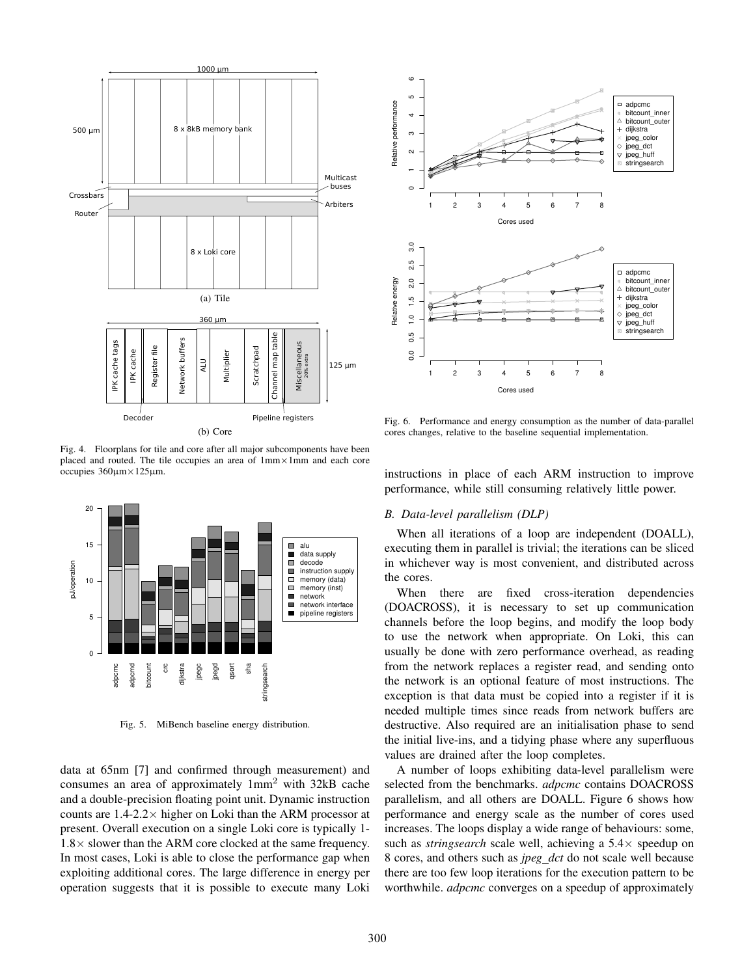

Fig. 4. Floorplans for tile and core after all major subcomponents have been placed and routed. The tile occupies an area of 1mm×1mm and each core occupies 360µm×125µm.



Fig. 5. MiBench baseline energy distribution.

data at 65nm [7] and confirmed through measurement) and consumes an area of approximately 1mm<sup>2</sup> with 32kB cache and a double-precision floating point unit. Dynamic instruction counts are  $1.4$ -2.2 $\times$  higher on Loki than the ARM processor at present. Overall execution on a single Loki core is typically 1-  $1.8\times$  slower than the ARM core clocked at the same frequency. In most cases, Loki is able to close the performance gap when exploiting additional cores. The large difference in energy per operation suggests that it is possible to execute many Loki



Fig. 6. Performance and energy consumption as the number of data-parallel cores changes, relative to the baseline sequential implementation.

instructions in place of each ARM instruction to improve performance, while still consuming relatively little power.

# *B. Data-level parallelism (DLP)*

When all iterations of a loop are independent (DOALL), executing them in parallel is trivial; the iterations can be sliced in whichever way is most convenient, and distributed across the cores.

When there are fixed cross-iteration dependencies (DOACROSS), it is necessary to set up communication channels before the loop begins, and modify the loop body to use the network when appropriate. On Loki, this can usually be done with zero performance overhead, as reading from the network replaces a register read, and sending onto the network is an optional feature of most instructions. The exception is that data must be copied into a register if it is needed multiple times since reads from network buffers are destructive. Also required are an initialisation phase to send the initial live-ins, and a tidying phase where any superfluous values are drained after the loop completes.

A number of loops exhibiting data-level parallelism were selected from the benchmarks. *adpcmc* contains DOACROSS parallelism, and all others are DOALL. Figure 6 shows how performance and energy scale as the number of cores used increases. The loops display a wide range of behaviours: some, such as *stringsearch* scale well, achieving a 5.4× speedup on 8 cores, and others such as *jpeg dct* do not scale well because there are too few loop iterations for the execution pattern to be worthwhile. *adpcmc* converges on a speedup of approximately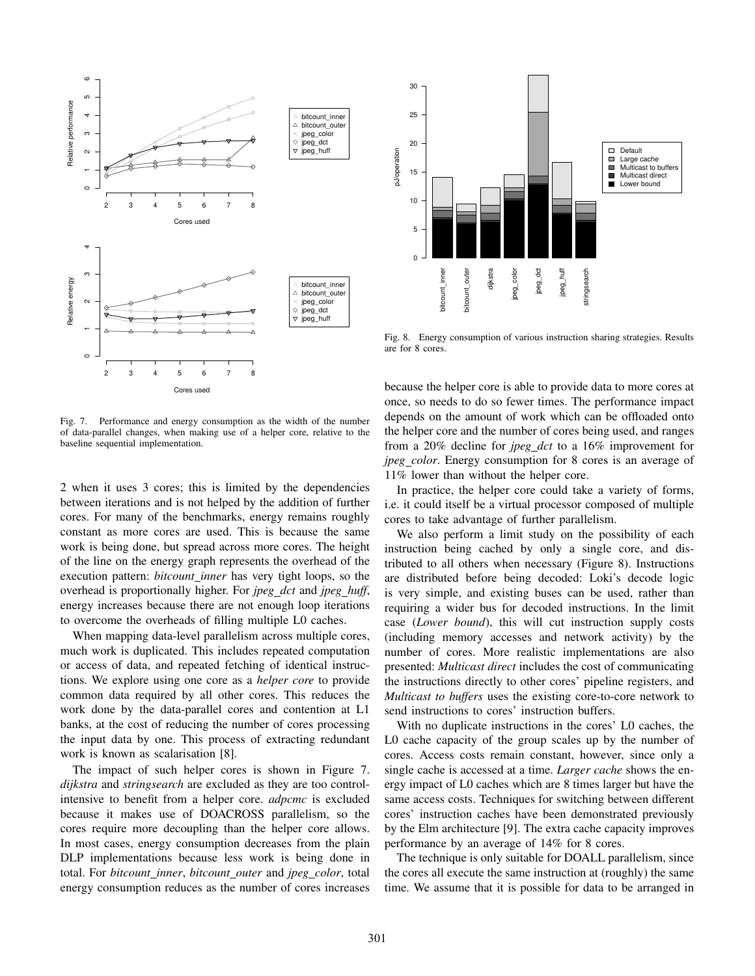

Fig. 7. Performance and energy consumption as the width of the number of data-parallel changes, when making use of a helper core, relative to the baseline sequential implementation.

2 when it uses 3 cores; this is limited by the dependencies between iterations and is not helped by the addition of further cores. For many of the benchmarks, energy remains roughly constant as more cores are used. This is because the same work is being done, but spread across more cores. The height of the line on the energy graph represents the overhead of the execution pattern: *bitcount inner* has very tight loops, so the overhead is proportionally higher. For *jpeg dct* and *jpeg huff*, energy increases because there are not enough loop iterations to overcome the overheads of filling multiple L0 caches. **ENERGY CONSULTERINGTERS AS THE CONSULTERINGTERS AS THE CONSULTERINGTERS (SEE THE CONSULTERINGTERS AS THE NUMBER OF CORES IN THE CONSULTERINGTERS (SEE THE CONSULTERINGTERS AS THE CONSULTERINGTERS OF CONSULTERINGTERS (SEE** 

When mapping data-level parallelism across multiple cores, much work is duplicated. This includes repeated computation or access of data, and repeated fetching of identical instructions. We explore using one core as a *helper core* to provide common data required by all other cores. This reduces the work done by the data-parallel cores and contention at L1 banks, at the cost of reducing the number of cores processing the input data by one. This process of extracting redundant work is known as scalarisation [8].

The impact of such helper cores is shown in Figure 7. *dijkstra* and *stringsearch* are excluded as they are too controlintensive to benefit from a helper core. *adpcmc* is excluded because it makes use of DOACROSS parallelism, so the cores require more decoupling than the helper core allows. In most cases, energy consumption decreases from the plain DLP implementations because less work is being done in total. For *bitcount inner*, *bitcount outer* and *jpeg color*, total



Fig. 8. Energy consumption of various instruction sharing strategies. Results are for 8 cores.

because the helper core is able to provide data to more cores at once, so needs to do so fewer times. The performance impact depends on the amount of work which can be offloaded onto the helper core and the number of cores being used, and ranges from a 20% decline for *jpeg dct* to a 16% improvement for *jpeg color*. Energy consumption for 8 cores is an average of 11% lower than without the helper core.

In practice, the helper core could take a variety of forms, i.e. it could itself be a virtual processor composed of multiple cores to take advantage of further parallelism.

We also perform a limit study on the possibility of each instruction being cached by only a single core, and distributed to all others when necessary (Figure 8). Instructions are distributed before being decoded: Loki's decode logic is very simple, and existing buses can be used, rather than requiring a wider bus for decoded instructions. In the limit case (*Lower bound*), this will cut instruction supply costs (including memory accesses and network activity) by the number of cores. More realistic implementations are also presented: *Multicast direct* includes the cost of communicating the instructions directly to other cores' pipeline registers, and *Multicast to buffers* uses the existing core-to-core network to send instructions to cores' instruction buffers.

With no duplicate instructions in the cores' L0 caches, the L0 cache capacity of the group scales up by the number of cores. Access costs remain constant, however, since only a single cache is accessed at a time. *Larger cache* shows the energy impact of L0 caches which are 8 times larger but have the same access costs. Techniques for switching between different cores' instruction caches have been demonstrated previously by the Elm architecture [9]. The extra cache capacity improves performance by an average of 14% for 8 cores.

The technique is only suitable for DOALL parallelism, since the cores all execute the same instruction at (roughly) the same time. We assume that it is possible for data to be arranged in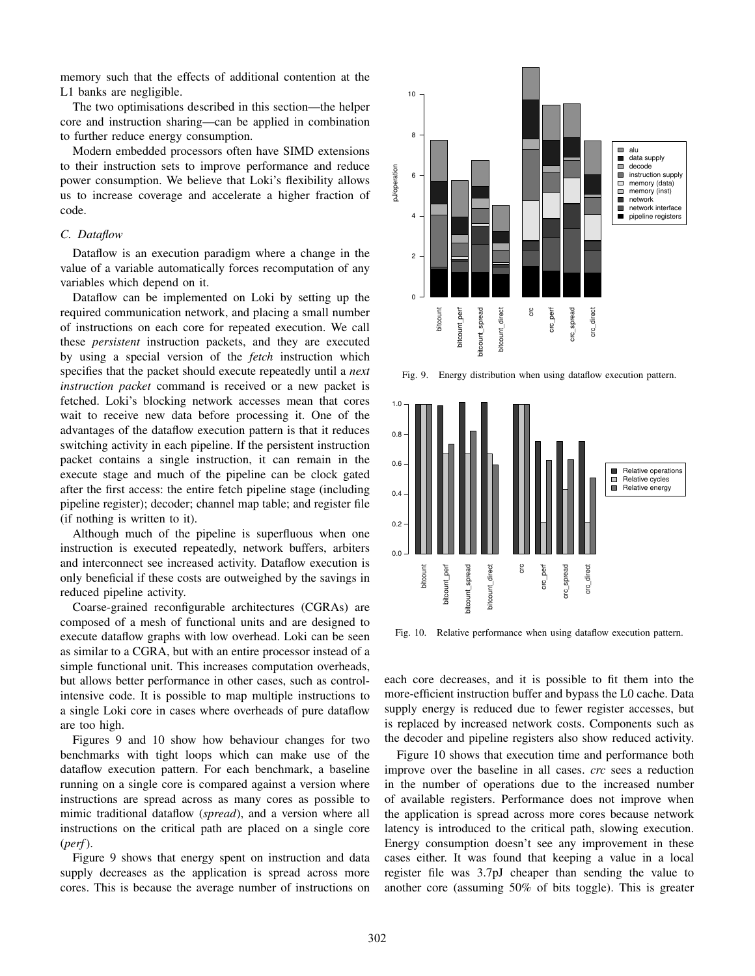memory such that the effects of additional contention at the L1 banks are negligible.

The two optimisations described in this section—the helper core and instruction sharing—can be applied in combination to further reduce energy consumption.

Modern embedded processors often have SIMD extensions to their instruction sets to improve performance and reduce power consumption. We believe that Loki's flexibility allows us to increase coverage and accelerate a higher fraction of code.

#### *C. Dataflow*

Dataflow is an execution paradigm where a change in the value of a variable automatically forces recomputation of any variables which depend on it.

Dataflow can be implemented on Loki by setting up the required communication network, and placing a small number of instructions on each core for repeated execution. We call these *persistent* instruction packets, and they are executed by using a special version of the *fetch* instruction which specifies that the packet should execute repeatedly until a *next instruction packet* command is received or a new packet is fetched. Loki's blocking network accesses mean that cores wait to receive new data before processing it. One of the advantages of the dataflow execution pattern is that it reduces switching activity in each pipeline. If the persistent instruction packet contains a single instruction, it can remain in the execute stage and much of the pipeline can be clock gated after the first access: the entire fetch pipeline stage (including pipeline register); decoder; channel map table; and register file (if nothing is written to it). required communication network, and placing a small number  $\mu$  is  $\frac{1}{2}$  is  $\frac{1}{2}$  is  $\frac{1}{2}$  is the perform instruction packet, and they are excelled by using a special version of the *ferch* instruction which

Although much of the pipeline is superfluous when one instruction is executed repeatedly, network buffers, arbiters and interconnect see increased activity. Dataflow execution is only beneficial if these costs are outweighed by the savings in reduced pipeline activity.

Coarse-grained reconfigurable architectures (CGRAs) are composed of a mesh of functional units and are designed to execute dataflow graphs with low overhead. Loki can be seen as similar to a CGRA, but with an entire processor instead of a simple functional unit. This increases computation overheads, but allows better performance in other cases, such as controlintensive code. It is possible to map multiple instructions to a single Loki core in cases where overheads of pure dataflow are too high.

Figures 9 and 10 show how behaviour changes for two benchmarks with tight loops which can make use of the dataflow execution pattern. For each benchmark, a baseline running on a single core is compared against a version where instructions are spread across as many cores as possible to mimic traditional dataflow (*spread*), and a version where all instructions on the critical path are placed on a single core (*perf*).

Figure 9 shows that energy spent on instruction and data supply decreases as the application is spread across more



Fig. 9. Energy distribution when using dataflow execution pattern.



Fig. 10. Relative performance when using dataflow execution pattern.

each core decreases, and it is possible to fit them into the more-efficient instruction buffer and bypass the L0 cache. Data supply energy is reduced due to fewer register accesses, but is replaced by increased network costs. Components such as the decoder and pipeline registers also show reduced activity.

Figure 10 shows that execution time and performance both improve over the baseline in all cases. *crc* sees a reduction in the number of operations due to the increased number of available registers. Performance does not improve when the application is spread across more cores because network latency is introduced to the critical path, slowing execution. Energy consumption doesn't see any improvement in these cases either. It was found that keeping a value in a local register file was 3.7pJ cheaper than sending the value to another core (assuming 50% of bits toggle). This is greater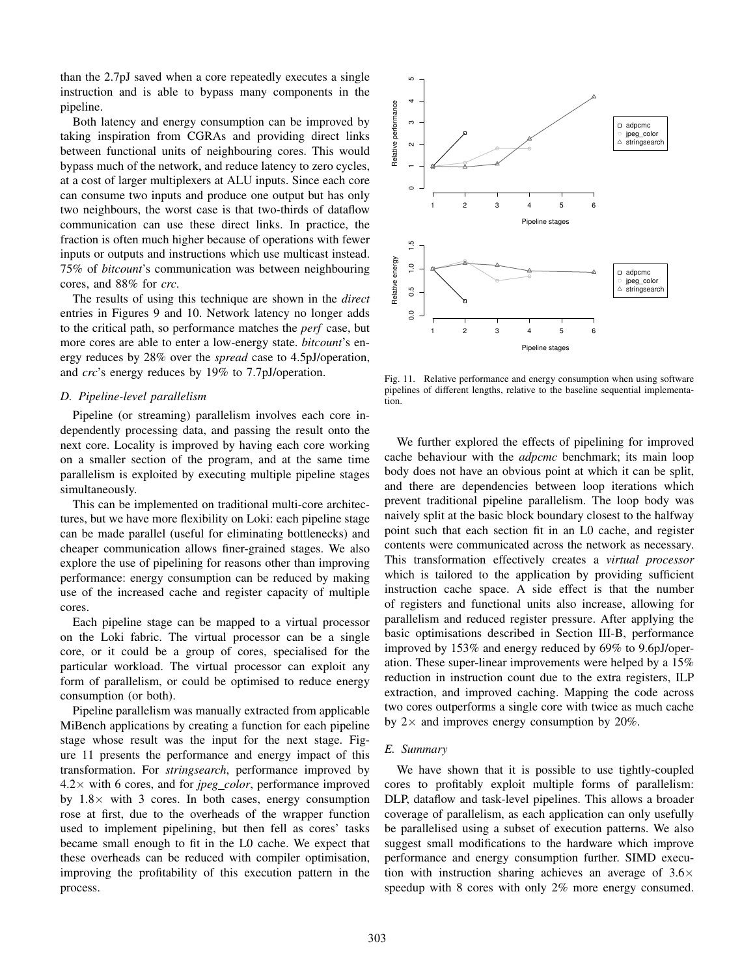than the 2.7pJ saved when a core repeatedly executes a single instruction and is able to bypass many components in the pipeline.

Both latency and energy consumption can be improved by taking inspiration from CGRAs and providing direct links between functional units of neighbouring cores. This would bypass much of the network, and reduce latency to zero cycles, at a cost of larger multiplexers at ALU inputs. Since each core can consume two inputs and produce one output but has only two neighbours, the worst case is that two-thirds of dataflow communication can use these direct links. In practice, the fraction is often much higher because of operations with fewer inputs or outputs and instructions which use multicast instead. 75% of *bitcount*'s communication was between neighbouring cores, and 88% for *crc*.

The results of using this technique are shown in the *direct* entries in Figures 9 and 10. Network latency no longer adds to the critical path, so performance matches the *perf* case, but more cores are able to enter a low-energy state. *bitcount*'s energy reduces by 28% over the *spread* case to 4.5pJ/operation, and *crc*'s energy reduces by 19% to 7.7pJ/operation.

### *D. Pipeline-level parallelism*

Pipeline (or streaming) parallelism involves each core independently processing data, and passing the result onto the next core. Locality is improved by having each core working on a smaller section of the program, and at the same time parallelism is exploited by executing multiple pipeline stages simultaneously.

This can be implemented on traditional multi-core architectures, but we have more flexibility on Loki: each pipeline stage can be made parallel (useful for eliminating bottlenecks) and cheaper communication allows finer-grained stages. We also explore the use of pipelining for reasons other than improving performance: energy consumption can be reduced by making use of the increased cache and register capacity of multiple cores.

Each pipeline stage can be mapped to a virtual processor on the Loki fabric. The virtual processor can be a single core, or it could be a group of cores, specialised for the particular workload. The virtual processor can exploit any form of parallelism, or could be optimised to reduce energy consumption (or both).

Pipeline parallelism was manually extracted from applicable MiBench applications by creating a function for each pipeline stage whose result was the input for the next stage. Figure 11 presents the performance and energy impact of this transformation. For *stringsearch*, performance improved by 4.2× with 6 cores, and for *jpeg color*, performance improved by  $1.8\times$  with 3 cores. In both cases, energy consumption rose at first, due to the overheads of the wrapper function used to implement pipelining, but then fell as cores' tasks became small enough to fit in the L0 cache. We expect that these overheads can be reduced with compiler optimisation, improving the profitability of this execution pattern in the process.



Fig. 11. Relative performance and energy consumption when using software pipelines of different lengths, relative to the baseline sequential implementation.

We further explored the effects of pipelining for improved cache behaviour with the *adpcmc* benchmark; its main loop body does not have an obvious point at which it can be split, and there are dependencies between loop iterations which prevent traditional pipeline parallelism. The loop body was naively split at the basic block boundary closest to the halfway point such that each section fit in an L0 cache, and register contents were communicated across the network as necessary. This transformation effectively creates a *virtual processor* which is tailored to the application by providing sufficient instruction cache space. A side effect is that the number of registers and functional units also increase, allowing for parallelism and reduced register pressure. After applying the basic optimisations described in Section III-B, performance improved by 153% and energy reduced by 69% to 9.6pJ/operation. These super-linear improvements were helped by a 15% reduction in instruction count due to the extra registers, ILP extraction, and improved caching. Mapping the code across two cores outperforms a single core with twice as much cache by  $2\times$  and improves energy consumption by  $20\%$ .

#### *E. Summary*

We have shown that it is possible to use tightly-coupled cores to profitably exploit multiple forms of parallelism: DLP, dataflow and task-level pipelines. This allows a broader coverage of parallelism, as each application can only usefully be parallelised using a subset of execution patterns. We also suggest small modifications to the hardware which improve performance and energy consumption further. SIMD execution with instruction sharing achieves an average of  $3.6\times$ speedup with 8 cores with only 2% more energy consumed.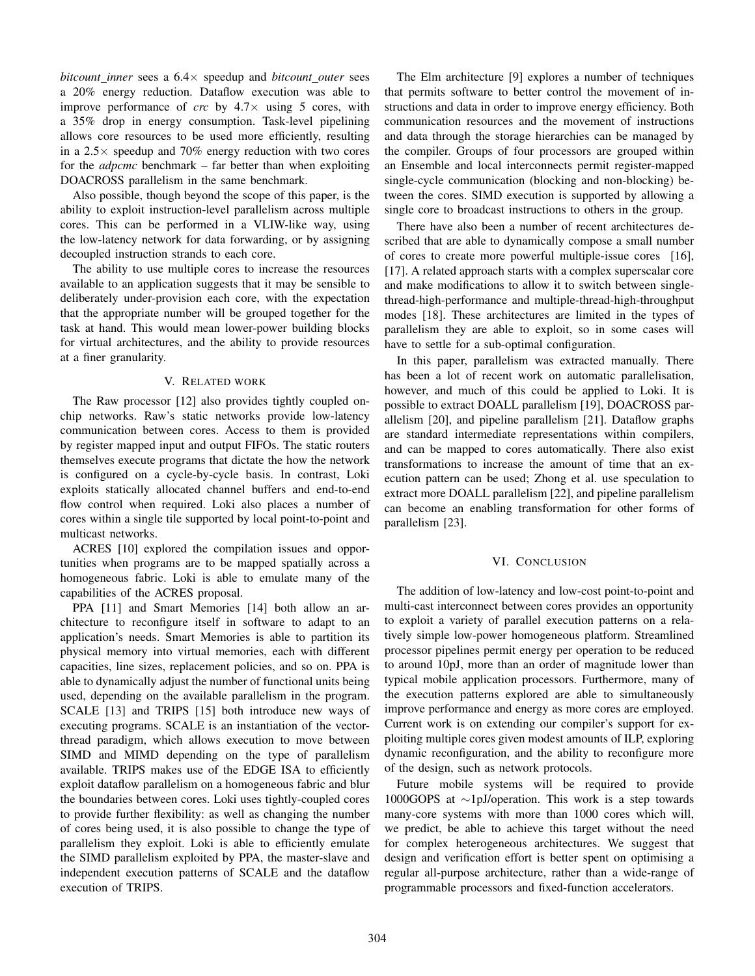*bitcount inner* sees a 6.4× speedup and *bitcount outer* sees a 20% energy reduction. Dataflow execution was able to improve performance of  $crc$  by  $4.7\times$  using 5 cores, with a 35% drop in energy consumption. Task-level pipelining allows core resources to be used more efficiently, resulting in a  $2.5\times$  speedup and 70% energy reduction with two cores for the *adpcmc* benchmark – far better than when exploiting DOACROSS parallelism in the same benchmark.

Also possible, though beyond the scope of this paper, is the ability to exploit instruction-level parallelism across multiple cores. This can be performed in a VLIW-like way, using the low-latency network for data forwarding, or by assigning decoupled instruction strands to each core.

The ability to use multiple cores to increase the resources available to an application suggests that it may be sensible to deliberately under-provision each core, with the expectation that the appropriate number will be grouped together for the task at hand. This would mean lower-power building blocks for virtual architectures, and the ability to provide resources at a finer granularity.

# V. RELATED WORK

The Raw processor [12] also provides tightly coupled onchip networks. Raw's static networks provide low-latency communication between cores. Access to them is provided by register mapped input and output FIFOs. The static routers themselves execute programs that dictate the how the network is configured on a cycle-by-cycle basis. In contrast, Loki exploits statically allocated channel buffers and end-to-end flow control when required. Loki also places a number of cores within a single tile supported by local point-to-point and multicast networks.

ACRES [10] explored the compilation issues and opportunities when programs are to be mapped spatially across a homogeneous fabric. Loki is able to emulate many of the capabilities of the ACRES proposal.

PPA [11] and Smart Memories [14] both allow an architecture to reconfigure itself in software to adapt to an application's needs. Smart Memories is able to partition its physical memory into virtual memories, each with different capacities, line sizes, replacement policies, and so on. PPA is able to dynamically adjust the number of functional units being used, depending on the available parallelism in the program. SCALE [13] and TRIPS [15] both introduce new ways of executing programs. SCALE is an instantiation of the vectorthread paradigm, which allows execution to move between SIMD and MIMD depending on the type of parallelism available. TRIPS makes use of the EDGE ISA to efficiently exploit dataflow parallelism on a homogeneous fabric and blur the boundaries between cores. Loki uses tightly-coupled cores to provide further flexibility: as well as changing the number of cores being used, it is also possible to change the type of parallelism they exploit. Loki is able to efficiently emulate the SIMD parallelism exploited by PPA, the master-slave and independent execution patterns of SCALE and the dataflow execution of TRIPS.

The Elm architecture [9] explores a number of techniques that permits software to better control the movement of instructions and data in order to improve energy efficiency. Both communication resources and the movement of instructions and data through the storage hierarchies can be managed by the compiler. Groups of four processors are grouped within an Ensemble and local interconnects permit register-mapped single-cycle communication (blocking and non-blocking) between the cores. SIMD execution is supported by allowing a single core to broadcast instructions to others in the group.

There have also been a number of recent architectures described that are able to dynamically compose a small number of cores to create more powerful multiple-issue cores [16], [17]. A related approach starts with a complex superscalar core and make modifications to allow it to switch between singlethread-high-performance and multiple-thread-high-throughput modes [18]. These architectures are limited in the types of parallelism they are able to exploit, so in some cases will have to settle for a sub-optimal configuration.

In this paper, parallelism was extracted manually. There has been a lot of recent work on automatic parallelisation, however, and much of this could be applied to Loki. It is possible to extract DOALL parallelism [19], DOACROSS parallelism [20], and pipeline parallelism [21]. Dataflow graphs are standard intermediate representations within compilers, and can be mapped to cores automatically. There also exist transformations to increase the amount of time that an execution pattern can be used; Zhong et al. use speculation to extract more DOALL parallelism [22], and pipeline parallelism can become an enabling transformation for other forms of parallelism [23].

#### VI. CONCLUSION

The addition of low-latency and low-cost point-to-point and multi-cast interconnect between cores provides an opportunity to exploit a variety of parallel execution patterns on a relatively simple low-power homogeneous platform. Streamlined processor pipelines permit energy per operation to be reduced to around 10pJ, more than an order of magnitude lower than typical mobile application processors. Furthermore, many of the execution patterns explored are able to simultaneously improve performance and energy as more cores are employed. Current work is on extending our compiler's support for exploiting multiple cores given modest amounts of ILP, exploring dynamic reconfiguration, and the ability to reconfigure more of the design, such as network protocols.

Future mobile systems will be required to provide 1000GOPS at ∼1pJ/operation. This work is a step towards many-core systems with more than 1000 cores which will, we predict, be able to achieve this target without the need for complex heterogeneous architectures. We suggest that design and verification effort is better spent on optimising a regular all-purpose architecture, rather than a wide-range of programmable processors and fixed-function accelerators.